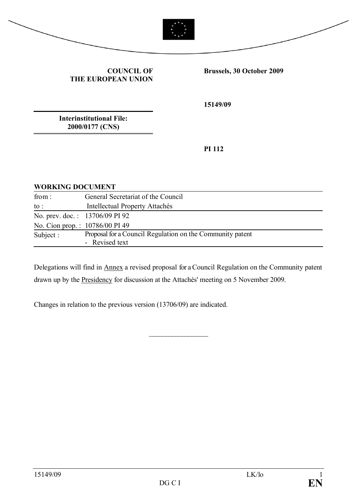



**COUNCIL OF THE EUROPEAN UNION** **Brussels, 30 October 2009**

**15149/09**

**Interinstitutional File: 2000/0177 (CNS)**

**PI 112**

#### **WORKING DOCUMENT**

| General Secretariat of the Council                                          |
|-----------------------------------------------------------------------------|
| Intellectual Property Attachés                                              |
| No. prev. doc.: 13706/09 PI 92                                              |
| No. Cion prop.: 10786/00 PI 49                                              |
| Proposal for a Council Regulation on the Community patent<br>- Revised text |
|                                                                             |

Delegations will find in Annex a revised proposal for a Council Regulation on the Community patent drawn up by the Presidency for discussion at the Attachés' meeting on 5 November 2009.

 $\mathcal{L}_\text{max}$  , where  $\mathcal{L}_\text{max}$ 

Changes in relation to the previous version (13706/09) are indicated.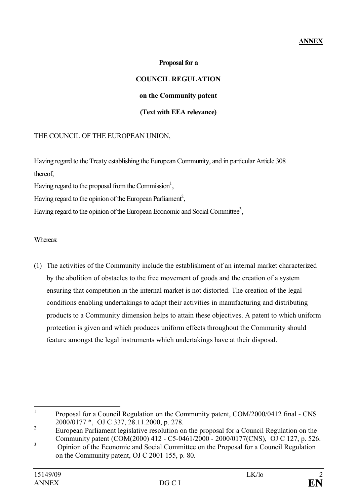# **ANNEX**

#### **Proposal for a**

# **COUNCIL REGULATION on the Community patent (Text with EEA relevance)**

### THE COUNCIL OF THE EUROPEAN UNION,

Having regard to the Treaty establishing the European Community, and in particular Article 308 thereof,

Having regard to the proposal from the Commission<sup>1</sup>,

Having regard to the opinion of the European Parliament<sup>2</sup>,

Having regard to the opinion of the European Economic and Social Committee<sup>3</sup>,

Whereas:

(1) The activities of the Community include the establishment of an internal market characterized by the abolition of obstacles to the free movement of goods and the creation of a system ensuring that competition in the internal market is not distorted. The creation of the legal conditions enabling undertakings to adapt their activities in manufacturing and distributing products to a Community dimension helps to attain these objectives. A patent to which uniform protection is given and which produces uniform effects throughout the Community should feature amongst the legal instruments which undertakings have at their disposal.

<sup>1</sup> Proposal for a Council Regulation on the Community patent, COM/2000/0412 final - CNS 2000/0177 \*, OJ C 337, 28.11.2000, p. 278.

<sup>2</sup> European Parliament legislative resolution on the proposal for a Council Regulation on the Community patent (COM(2000) 412 - C5-0461/2000 - 2000/0177(CNS), OJ C 127, p. 526.

<sup>&</sup>lt;sup>3</sup> Opinion of the Economic and Social Committee on the Proposal for a Council Regulation on the Community patent, OJ C 2001 155, p. 80.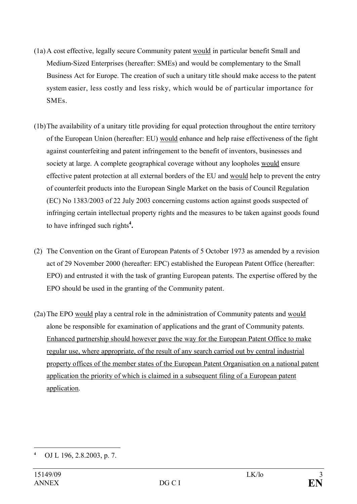- (1a) A cost effective, legally secure Community patent would in particular benefit Small and Medium-Sized Enterprises (hereafter: SMEs) and would be complementary to the Small Business Act for Europe. The creation of such a unitary title should make access to the patent system easier, less costly and less risky, which would be of particular importance for SMEs.
- (1b)The availability of a unitary title providing for equal protection throughout the entire territory of the European Union (hereafter: EU) would enhance and help raise effectiveness of the fight against counterfeiting and patent infringement to the benefit of inventors, businesses and society at large. A complete geographical coverage without any loopholes would ensure effective patent protection at all external borders of the EU and would help to prevent the entry of counterfeit products into the European Single Market on the basis of Council Regulation (EC) No 1383/2003 of 22 July 2003 concerning customs action against goods suspected of infringing certain intellectual property rights and the measures to be taken against goods found to have infringed such rights**<sup>4</sup> .**
- (2) The Convention on the Grant of European Patents of 5 October 1973 as amended by a revision act of 29 November 2000 (hereafter: EPC) established the European Patent Office (hereafter: EPO) and entrusted it with the task of granting European patents. The expertise offered by the EPO should be used in the granting of the Community patent.
- (2a)The EPO would play a central role in the administration of Community patents and would alone be responsible for examination of applications and the grant of Community patents. Enhanced partnership should however pave the way for the European Patent Office to make regular use, where appropriate, of the result of any search carried out by central industrial property offices of the member states of the European Patent Organisation on a national patent application the priority of which is claimed in a subsequent filing of a European patent application.

**<sup>4</sup>** OJ L 196, 2.8.2003, p. 7.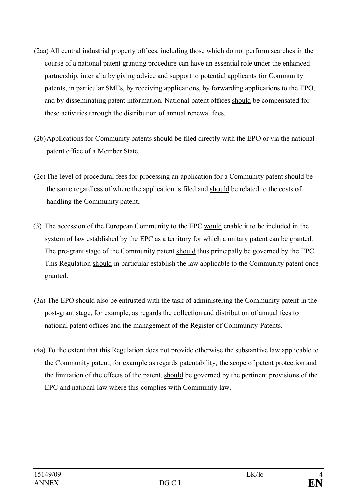- (2aa) All central industrial property offices, including those which do not perform searches in the course of a national patent granting procedure can have an essential role under the enhanced partnership, inter alia by giving advice and support to potential applicants for Community patents, in particular SMEs, by receiving applications, by forwarding applications to the EPO, and by disseminating patent information. National patent offices should be compensated for these activities through the distribution of annual renewal fees.
- (2b)Applications for Community patents should be filed directly with the EPO or via the national patent office of a Member State.
- (2c)The level of procedural fees for processing an application for a Community patent should be the same regardless of where the application is filed and should be related to the costs of handling the Community patent.
- (3) The accession of the European Community to the EPC would enable it to be included in the system of law established by the EPC as a territory for which a unitary patent can be granted. The pre-grant stage of the Community patent should thus principally be governed by the EPC. This Regulation should in particular establish the law applicable to the Community patent once granted.
- (3a) The EPO should also be entrusted with the task of administering the Community patent in the post-grant stage, for example, as regards the collection and distribution of annual fees to national patent offices and the management of the Register of Community Patents.
- (4a) To the extent that this Regulation does not provide otherwise the substantive law applicable to the Community patent, for example as regards patentability, the scope of patent protection and the limitation of the effects of the patent, should be governed by the pertinent provisions of the EPC and national law where this complies with Community law.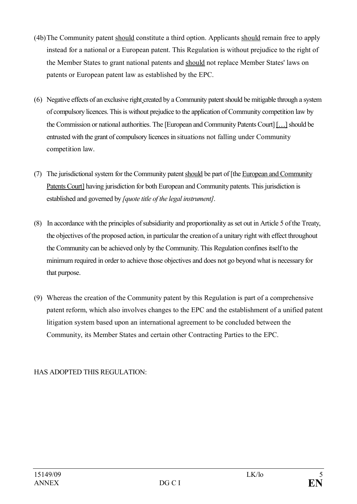- (4b)The Community patent should constitute a third option. Applicants should remain free to apply instead for a national or a European patent. This Regulation is without prejudice to the right of the Member States to grant national patents and should not replace Member States' laws on patents or European patent law as established by the EPC.
- (6) Negative effects of an exclusive right created by a Community patent should be mitigable through a system of compulsory licences. This is without prejudice to the application of Community competition law by the Commission or national authorities. The [European and Community Patents Court] […]should be entrusted with the grant of compulsory licences in situations not falling under Community competition law.
- (7) The jurisdictional system for the Community patent should be part of [the European and Community Patents Court] having jurisdiction for both European and Community patents. This jurisdiction is established and governed by *[quote title of the legal instrument]*.
- (8) In accordance with the principles ofsubsidiarity and proportionality as set out in Article 5 ofthe Treaty, the objectives of the proposed action, in particular the creation of a unitary right with effect throughout the Community can be achieved only by the Community. This Regulation confines itselfto the minimum required in order to achieve those objectives and does not go beyond what is necessary for that purpose.
- (9) Whereas the creation of the Community patent by this Regulation is part of a comprehensive patent reform, which also involves changes to the EPC and the establishment of a unified patent litigation system based upon an international agreement to be concluded between the Community, its Member States and certain other Contracting Parties to the EPC.

# HAS ADOPTED THIS REGULATION: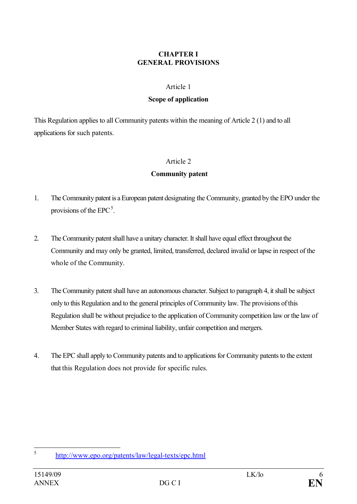#### **CHAPTER I GENERAL PROVISIONS**

#### Article 1

#### **Scope of application**

This Regulation applies to all Community patents within the meaning of Article 2 (1) and to all applications for such patents.

#### Article 2

#### **Community patent**

- 1. The Community patent is a European patent designating the Community, granted by the EPO under the provisions of the  $EPC^5$ .
- 2. The Community patent shall have a unitary character. It shall have equal effect throughout the Community and may only be granted, limited, transferred, declared invalid or lapse in respect of the whole of the Community.
- 3. The Community patent shall have an autonomous character. Subject to paragraph 4, it shall be subject only to this Regulation and to the general principles of Community law. The provisions ofthis Regulation shall be without prejudice to the application of Community competition law or the law of Member States with regard to criminal liability, unfair competition and mergers.
- 4. The EPC shall apply to Community patents and to applications for Community patents to the extent that this Regulation does not provide for specific rules.

<sup>5</sup> http://www.epo.org/patents/law/legal-texts/epc.html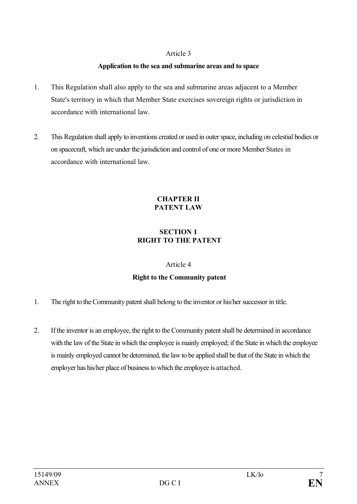#### **Application to the sea and submarine areas and to space**

- 1. This Regulation shall also apply to the sea and submarine areas adjacent to a Member State's territory in which that Member State exercises sovereign rights or jurisdiction in accordance with international law.
- 2. This Regulation shall apply to inventions created or used in outer space, including on celestial bodies or on spacecraft, which are under the jurisdiction and control of one or more Member States in accordance with international law.

#### **CHAPTER II PATENT LAW**

# **SECTION 1 RIGHT TO THE PATENT**

#### Article 4

# **Right to the Community patent**

- 1. The right to the Community patent shall belong to the inventor or his/her successor in title.
- 2. Ifthe inventor is an employee, the right to the Community patent shall be determined in accordance with the law of the State in which the employee is mainly employed; if the State in which the employee is mainly employed cannot be determined, the law to be applied shall be that of the State in which the employer has his/her place of business to which the employee is attached.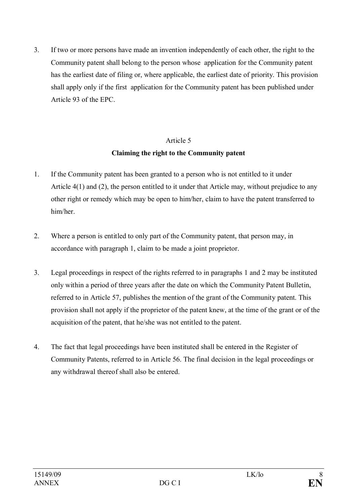3. If two or more persons have made an invention independently of each other, the right to the Community patent shall belong to the person whose application for the Community patent has the earliest date of filing or, where applicable, the earliest date of priority. This provision shall apply only if the first application for the Community patent has been published under Article 93 of the EPC.

# Article 5 **Claiming the right to the Community patent**

- 1. If the Community patent has been granted to a person who is not entitled to it under Article 4(1) and (2), the person entitled to it under that Article may, without prejudice to any other right or remedy which may be open to him/her, claim to have the patent transferred to him/her.
- 2. Where a person is entitled to only part of the Community patent, that person may, in accordance with paragraph 1, claim to be made a joint proprietor.
- 3. Legal proceedings in respect of the rights referred to in paragraphs 1 and 2 may be instituted only within a period of three years after the date on which the Community Patent Bulletin, referred to in Article 57, publishes the mention of the grant of the Community patent. This provision shall not apply if the proprietor of the patent knew, at the time of the grant or of the acquisition of the patent, that he/she was not entitled to the patent.
- 4. The fact that legal proceedings have been instituted shall be entered in the Register of Community Patents, referred to in Article 56. The final decision in the legal proceedings or any withdrawal thereof shall also be entered.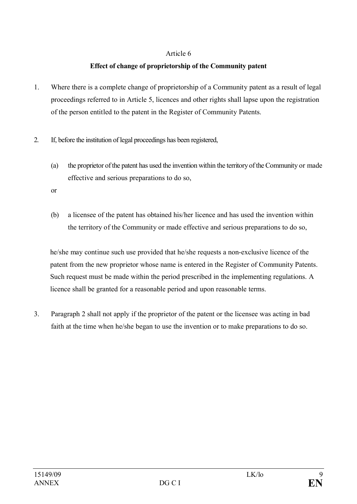# **Effect of change of proprietorship of the Community patent**

- 1. Where there is a complete change of proprietorship of a Community patent as a result of legal proceedings referred to in Article 5, licences and other rights shall lapse upon the registration of the person entitled to the patent in the Register of Community Patents.
- 2. If, before the institution of legal proceedings has been registered,
	- (a) the proprietor ofthe patent has used the invention within the territory ofthe Community or made effective and serious preparations to do so,
	- or
	- (b) a licensee of the patent has obtained his/her licence and has used the invention within the territory of the Community or made effective and serious preparations to do so,

he/she may continue such use provided that he/she requests a non-exclusive licence of the patent from the new proprietor whose name is entered in the Register of Community Patents. Such request must be made within the period prescribed in the implementing regulations. A licence shall be granted for a reasonable period and upon reasonable terms.

3. Paragraph 2 shall not apply if the proprietor of the patent or the licensee was acting in bad faith at the time when he/she began to use the invention or to make preparations to do so.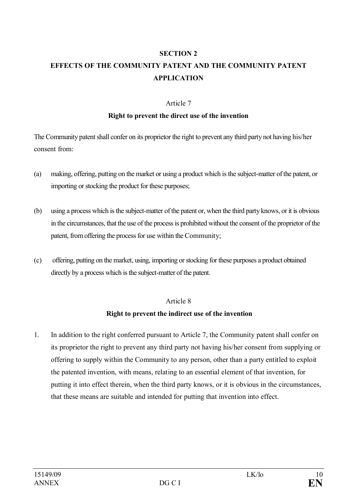#### **SECTION 2**

# **EFFECTS OF THE COMMUNITY PATENT AND THE COMMUNITY PATENT APPLICATION**

#### Article 7

#### **Right to prevent the direct use of the invention**

The Community patent shall confer on its proprietor the right to prevent any third party not having his/her consent from:

- (a) making, offering, putting on the market or using a product which is the subject-matter ofthe patent, or importing or stocking the product for these purposes;
- (b) using a process which is the subject-matter ofthe patent or, when the third party knows, or it is obvious in the circumstances, that the use of the process is prohibited without the consent of the proprietor of the patent, from offering the process for use within the Community;
- (c) offering, putting on the market, using, importing or stocking for these purposes a product obtained directly by a process which is the subject-matter of the patent.

#### Article 8

#### **Right to prevent the indirect use of the invention**

1. In addition to the right conferred pursuant to Article 7, the Community patent shall confer on its proprietor the right to prevent any third party not having his/her consent from supplying or offering to supply within the Community to any person, other than a party entitled to exploit the patented invention, with means, relating to an essential element of that invention, for putting it into effect therein, when the third party knows, or it is obvious in the circumstances, that these means are suitable and intended for putting that invention into effect.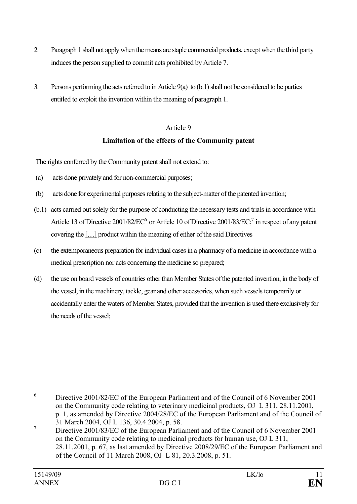- 2. Paragraph 1 shall not apply when the means are staple commercial products, except when the third party induces the person supplied to commit acts prohibited by Article 7.
- 3. Persons performing the acts referred to in Article 9(a) to (b.1) shall not be considered to be parties entitled to exploit the invention within the meaning of paragraph 1.

# **Limitation of the effects of the Community patent**

The rights conferred by the Community patent shall not extend to:

- (a) acts done privately and for non-commercial purposes;
- (b) acts done for experimental purposes relating to the subject-matter of the patented invention;
- (b.1) acts carried out solely for the purpose of conducting the necessary tests and trials in accordance with Article 13 of Directive  $2001/82/EC^6$  or Article 10 of Directive  $2001/83/EC^7$  in respect of any patent covering the  $\left[ \ldots \right]$  product within the meaning of either of the said Directives
- (c) the extemporaneous preparation for individual cases in a pharmacy of a medicine in accordance with a medical prescription nor acts concerning the medicine so prepared;
- (d) the use on board vessels of countries other than Member States of the patented invention, in the body of the vessel, in the machinery, tackle, gear and other accessories, when such vessels temporarily or accidentally enter the waters of Member States, provided that the invention is used there exclusively for the needs of the vessel:

<sup>6</sup> Directive 2001/82/EC of the European Parliament and of the Council of 6 November 2001 on the Community code relating to veterinary medicinal products, OJ L 311, 28.11.2001, p. 1, as amended by Directive 2004/28/EC of the European Parliament and of the Council of 31 March 2004, OJ L 136, 30.4.2004, p. 58.

<sup>&</sup>lt;sup>7</sup> Directive 2001/83/EC of the European Parliament and of the Council of 6 November 2001 on the Community code relating to medicinal products for human use, OJ L 311, 28.11.2001, p. 67, as last amended by Directive 2008/29/EC of the European Parliament and of the Council of 11 March 2008, OJ L 81, 20.3.2008, p. 51.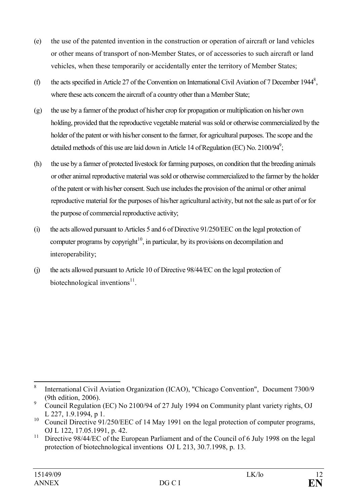- (e) the use of the patented invention in the construction or operation of aircraft or land vehicles or other means of transport of non-Member States, or of accessories to such aircraft or land vehicles, when these temporarily or accidentally enter the territory of Member States;
- (f) the acts specified in Article 27 of the Convention on International Civil Aviation of 7 December 1944<sup>8</sup>, where these acts concern the aircraft of a country other than a Member State;
- (g) the use by a farmer of the product of his/her crop for propagation or multiplication on his/her own holding, provided that the reproductive vegetable material was sold or otherwise commercialized by the holder of the patent or with his/her consent to the farmer, for agricultural purposes. The scope and the detailed methods of this use are laid down in Article 14 of Regulation (EC) No. 2100/94<sup>9</sup>;
- (h) the use by a farmer of protected livestock for farming purposes, on condition that the breeding animals or other animal reproductive material was sold or otherwise commercialized to the farmer by the holder ofthe patent or with his/her consent. Such use includes the provision of the animal or other animal reproductive material for the purposes of his/her agricultural activity, but not the sale as part of or for the purpose of commercial reproductive activity;
- (i) the acts allowed pursuant to Articles 5 and 6 of Directive 91/250/EEC on the legal protection of computer programs by copyright<sup>10</sup>, in particular, by its provisions on decompilation and interoperability;
- (j) the acts allowed pursuant to Article 10 of Directive 98/44/EC on the legal protection of biotechnological inventions<sup>11</sup>.

<sup>8</sup> International Civil Aviation Organization (ICAO), "Chicago Convention", Document 7300/9 (9th edition, 2006).

<sup>&</sup>lt;sup>9</sup> Council Regulation (EC) No 2100/94 of 27 July 1994 on Community plant variety rights, OJ L 227, 1.9.1994, p 1.

<sup>&</sup>lt;sup>10</sup> Council Directive 91/250/EEC of 14 May 1991 on the legal protection of computer programs, OJ L 122, 17.05.1991, p. 42.

<sup>&</sup>lt;sup>11</sup> Directive 98/44/EC of the European Parliament and of the Council of 6 July 1998 on the legal protection of biotechnological inventions OJ L 213, 30.7.1998, p. 13.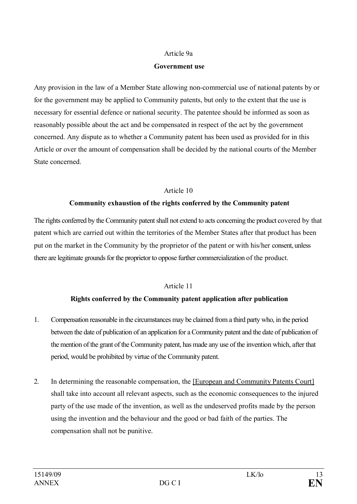#### Article 9a

#### **Government use**

Any provision in the law of a Member State allowing non-commercial use of national patents by or for the government may be applied to Community patents, but only to the extent that the use is necessary for essential defence or national security. The patentee should be informed as soon as reasonably possible about the act and be compensated in respect of the act by the government concerned. Any dispute as to whether a Community patent has been used as provided for in this Article or over the amount of compensation shall be decided by the national courts of the Member State concerned.

#### Article 10

#### **Community exhaustion of the rights conferred by the Community patent**

The rights conferred by the Community patent shall not extend to acts concerning the product covered by that patent which are carried out within the territories of the Member States after that product has been put on the market in the Community by the proprietor of the patent or with his/her consent, unless there are legitimate grounds for the proprietor to oppose further commercialization of the product.

#### Article 11

#### **Rights conferred by the Community patent application after publication**

- 1. Compensation reasonable in the circumstances may be claimed from a third party who, in the period between the date of publication of an application for a Community patent and the date of publication of the mention of the grant of the Community patent, has made any use of the invention which, after that period, would be prohibited by virtue of the Community patent.
- 2. In determining the reasonable compensation, the [European and Community Patents Court] shall take into account all relevant aspects, such as the economic consequences to the injured party of the use made of the invention, as well as the undeserved profits made by the person using the invention and the behaviour and the good or bad faith of the parties. The compensation shall not be punitive.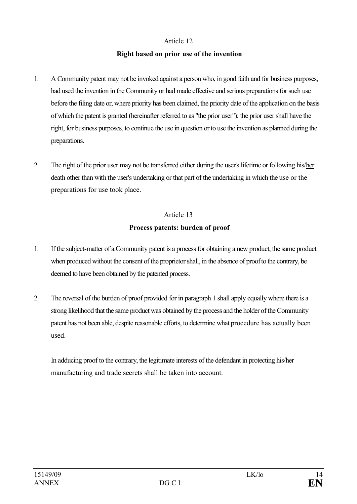#### **Right based on prior use of the invention**

- 1. A Community patent may not be invoked against a person who, in good faith and for business purposes, had used the invention in the Community or had made effective and serious preparations for such use before the filing date or, where priority has been claimed, the priority date of the application on the basis of which the patent is granted (hereinafter referred to as "the prior user"); the prior user shall have the right, for business purposes, to continue the use in question or to use the invention as planned during the preparations.
- 2. The right of the prior user may not be transferred either during the user's lifetime or following his/her death other than with the user's undertaking or that part of the undertaking in which the use or the preparations for use took place.

# Article 13

# **Process patents: burden of proof**

- 1. If the subject-matter of a Community patent is a process for obtaining a new product, the same product when produced without the consent of the proprietor shall, in the absence of proofto the contrary, be deemed to have been obtained by the patented process.
- 2. The reversal of the burden of proof provided for in paragraph 1 shall apply equally where there is a strong likelihood that the same product was obtained by the process and the holder ofthe Community patent has not been able, despite reasonable efforts, to determine what procedure has actually been used.

In adducing proof to the contrary, the legitimate interests of the defendant in protecting his/her manufacturing and trade secrets shall be taken into account.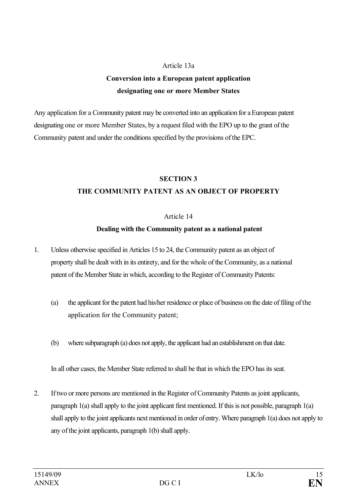#### Article 13a

# **Conversion into a European patent application designating one or more Member States**

Any application for a Community patent may be converted into an application for a European patent designating one or more Member States, by a request filed with the EPO up to the grant ofthe Community patent and under the conditions specified by the provisions ofthe EPC.

# **SECTION 3 THE COMMUNITY PATENT AS AN OBJECT OF PROPERTY**

#### Article 14

### **Dealing with the Community patent as a national patent**

- 1. Unless otherwise specified in Articles 15 to 24, the Community patent as an object of property shall be dealt with in its entirety, and for the whole of the Community, as a national patent of the Member State in which, according to the Register of Community Patents:
	- (a) the applicant for the patent had his/her residence or place of business on the date of filing of the application for the Community patent;
	- (b) where subparagraph (a) does not apply, the applicant had an establishment on that date.

In all other cases, the Member State referred to shall be that in which the EPO has its seat.

2. If two or more persons are mentioned in the Register of Community Patents as joint applicants, paragraph  $1(a)$  shall apply to the joint applicant first mentioned. If this is not possible, paragraph  $1(a)$ shall apply to the joint applicants next mentioned in order ofentry. Where paragraph 1(a) does not apply to any of the joint applicants, paragraph 1(b) shall apply.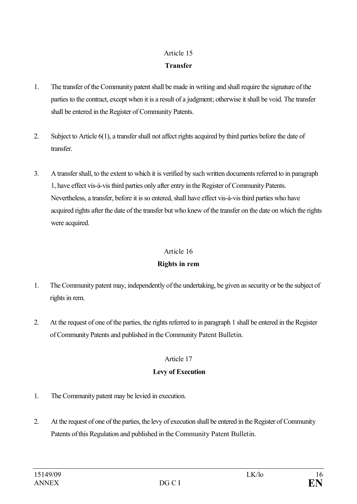# Article 15 **Transfer**

- 1. The transfer of the Community patent shall be made in writing and shall require the signature ofthe parties to the contract, except when it is a result of a judgment; otherwise it shall be void. The transfer shall be entered in the Register of Community Patents.
- 2. Subject to Article 6(1), a transfer shall not affect rights acquired by third parties before the date of transfer.
- 3. A transfer shall, to the extent to which it is verified by such written documents referred to in paragraph 1, have effect vis-à-vis third parties only after entry in the Register of Community Patents. Nevertheless, a transfer, before it is so entered, shall have effect vis-à-vis third parties who have acquired rights after the date of the transfer but who knew of the transfer on the date on which the rights were acquired.

### Article 16

# **Rights in rem**

- 1. The Community patent may, independently of the undertaking, be given as security or be the subject of rights in rem.
- 2. At the request of one of the parties, the rights referred to in paragraph 1 shall be entered in the Register ofCommunity Patents and published in the Community Patent Bulletin.

# Article 17

# **Levy of Execution**

- 1. The Community patent may be levied in execution.
- 2. At the request of one of the parties, the levy of execution shall be entered in the Register of Community Patents of this Regulation and published in the Community Patent Bulletin.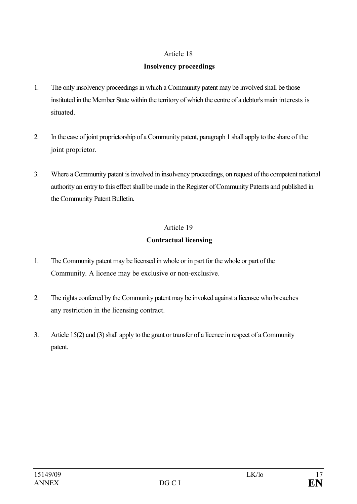# **Insolvency proceedings**

- 1. The only insolvency proceedings in which a Community patent may be involved shall be those instituted in the Member State within the territory of which the centre of a debtor's main interests is situated.
- 2. In the case of joint proprietorship of a Community patent, paragraph 1 shall apply to the share of the joint proprietor.
- 3. Where a Community patent is involved in insolvency proceedings, on request of the competent national authority an entry to this effect shall be made in the Register of Community Patents and published in the Community Patent Bulletin.

# Article 19

# **Contractual licensing**

- 1. The Community patent may be licensed in whole or in part for the whole or part of the Community. A licence may be exclusive or non-exclusive.
- 2. The rights conferred by the Community patent may be invoked against a licensee who breaches any restriction in the licensing contract.
- 3. Article 15(2) and (3) shall apply to the grant or transfer of a licence in respect of a Community patent.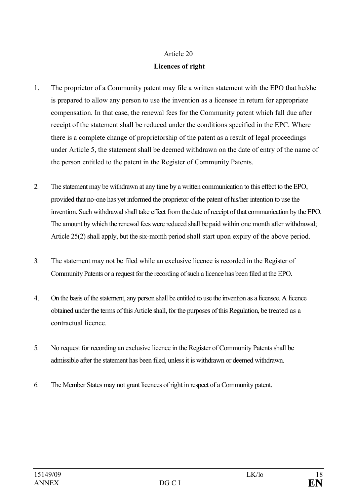# Article 20 **Licences of right**

- 1. The proprietor of a Community patent may file a written statement with the EPO that he/she is prepared to allow any person to use the invention as a licensee in return for appropriate compensation. In that case, the renewal fees for the Community patent which fall due after receipt of the statement shall be reduced under the conditions specified in the EPC. Where there is a complete change of proprietorship of the patent as a result of legal proceedings under Article 5, the statement shall be deemed withdrawn on the date of entry of the name of the person entitled to the patent in the Register of Community Patents.
- 2. The statement may be withdrawn at any time by a written communication to this effect to the EPO, provided that no-one has yet informed the proprietor of the patent of his/her intention to use the invention. Such withdrawal shall take effect from the date of receipt of that communication by the EPO. The amount by which the renewal fees were reduced shall be paid within one month after withdrawal; Article 25(2) shall apply, but the six-month period shall start upon expiry of the above period.
- 3. The statement may not be filed while an exclusive licence is recorded in the Register of Community Patents or a request for the recording of such a licence has been filed at the EPO.
- 4. On the basis of the statement, any person shall be entitled to use the invention as a licensee. A licence obtained under the terms of this Article shall, for the purposes of this Regulation, be treated as a contractual licence.
- 5. No request for recording an exclusive licence in the Register of Community Patents shall be admissible after the statement has been filed, unless it is withdrawn or deemed withdrawn.
- 6. The Member States may not grant licences of right in respect of a Community patent.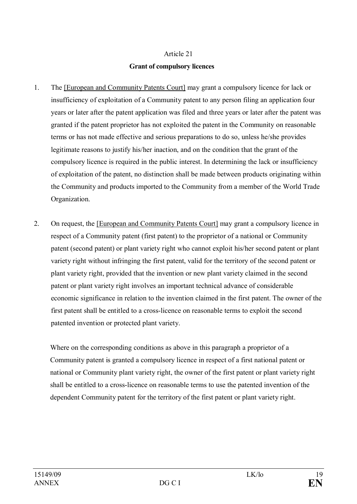# Article 21 **Grant of compulsory licences**

- 1. The [European and Community Patents Court] may grant a compulsory licence for lack or insufficiency of exploitation of a Community patent to any person filing an application four years or later after the patent application was filed and three years or later after the patent was granted if the patent proprietor has not exploited the patent in the Community on reasonable terms or has not made effective and serious preparations to do so, unless he/she provides legitimate reasons to justify his/her inaction, and on the condition that the grant of the compulsory licence is required in the public interest. In determining the lack or insufficiency of exploitation of the patent, no distinction shall be made between products originating within the Community and products imported to the Community from a member of the World Trade Organization.
- 2. On request, the [European and Community Patents Court] may grant a compulsory licence in respect of a Community patent (first patent) to the proprietor of a national or Community patent (second patent) or plant variety right who cannot exploit his/her second patent or plant variety right without infringing the first patent, valid for the territory of the second patent or plant variety right, provided that the invention or new plant variety claimed in the second patent or plant variety right involves an important technical advance of considerable economic significance in relation to the invention claimed in the first patent. The owner of the first patent shall be entitled to a cross-licence on reasonable terms to exploit the second patented invention or protected plant variety.

Where on the corresponding conditions as above in this paragraph a proprietor of a Community patent is granted a compulsory licence in respect of a first national patent or national or Community plant variety right, the owner of the first patent or plant variety right shall be entitled to a cross-licence on reasonable terms to use the patented invention of the dependent Community patent for the territory of the first patent or plant variety right.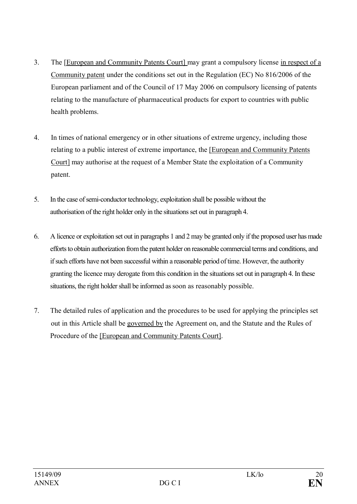- 3. The [European and Community Patents Court] may grant a compulsory license in respect of a Community patent under the conditions set out in the Regulation (EC) No 816/2006 of the European parliament and of the Council of 17 May 2006 on compulsory licensing of patents relating to the manufacture of pharmaceutical products for export to countries with public health problems.
- 4. In times of national emergency or in other situations of extreme urgency, including those relating to a public interest of extreme importance, the [European and Community Patents Court] may authorise at the request of a Member State the exploitation of a Community patent.
- 5. In the case of semi-conductor technology, exploitation shall be possible without the authorisation of the right holder only in the situations set out in paragraph 4.
- 6. A licence or exploitation set out in paragraphs 1 and 2 may be granted only if the proposed user has made efforts to obtain authorization from the patent holder on reasonable commercial terms and conditions, and if such efforts have not been successful within a reasonable period oftime. However, the authority granting the licence may derogate from this condition in the situations set out in paragraph 4. In these situations, the right holder shall be informed as soon as reasonably possible.
- 7. The detailed rules of application and the procedures to be used for applying the principles set out in this Article shall be governed by the Agreement on, and the Statute and the Rules of Procedure of the [European and Community Patents Court].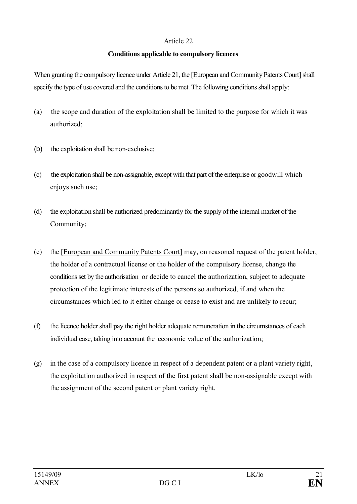#### **Conditions applicable to compulsory licences**

When granting the compulsory licence under Article 21, the [European and Community Patents Court] shall specify the type of use covered and the conditions to be met. The following conditions shall apply:

- (a) the scope and duration of the exploitation shall be limited to the purpose for which it was authorized;
- (b) the exploitation shall be non-exclusive;
- (c) the exploitation shall be non-assignable, except with that part of the enterprise or goodwill which enjoys such use;
- (d) the exploitation shall be authorized predominantly for the supply of the internal market of the Community;
- (e) the [European and Community Patents Court] may, on reasoned request of the patent holder, the holder of a contractual license or the holder of the compulsory license, change the conditionsset by the authorisation or decide to cancel the authorization, subject to adequate protection of the legitimate interests of the persons so authorized, if and when the circumstances which led to it either change or cease to exist and are unlikely to recur;
- (f) the licence holder shall pay the right holder adequate remuneration in the circumstances of each individual case, taking into account the economic value of the authorization;
- (g) in the case of a compulsory licence in respect of a dependent patent or a plant variety right, the exploitation authorized in respect of the first patent shall be non-assignable except with the assignment of the second patent or plant variety right.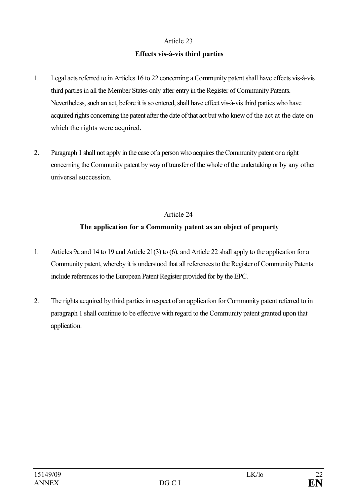### **Effects vis-à-vis third parties**

- 1. Legal acts referred to in Articles 16 to 22 concerning a Community patent shall have effects vis-à-vis third parties in all the Member States only after entry in the Register of Community Patents. Nevertheless, such an act, before it is so entered, shall have effect vis-à-vis third parties who have acquired rights concerning the patent after the date of that act but who knew of the act at the date on which the rights were acquired.
- 2. Paragraph 1 shall not apply in the case of a person who acquires the Community patent or a right concerning the Community patent by way of transfer of the whole of the undertaking or by any other universal succession.

# Article 24

# **The application for a Community patent as an object of property**

- 1. Articles 9a and 14 to 19 and Article 21(3) to (6), and Article 22 shall apply to the application for a Community patent, whereby it is understood that all references to the Register of Community Patents include references to the European Patent Register provided for by the EPC.
- 2. The rights acquired by third parties in respect of an application for Community patent referred to in paragraph 1 shall continue to be effective with regard to the Community patent granted upon that application.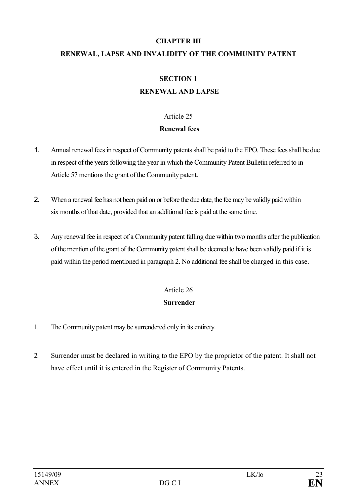# **CHAPTER III RENEWAL, LAPSE AND INVALIDITY OF THE COMMUNITY PATENT**

# **SECTION 1 RENEWAL AND LAPSE**

### Article 25

### **Renewal fees**

- 1. Annual renewal fees in respect of Community patents shall be paid to the EPO. These fees shall be due in respect ofthe years following the year in which the Community Patent Bulletin referred to in Article 57 mentions the grant of the Community patent.
- 2. When a renewal fee has not been paid on or before the due date, the fee may be validly paid within six months of that date, provided that an additional fee is paid at the same time.
- 3. Any renewal fee in respect of a Community patent falling due within two months after the publication ofthe mention ofthe grant of the Community patent shall be deemed to have been validly paid if it is paid within the period mentioned in paragraph 2. No additional fee shall be charged in this case.

# Article 26 **Surrender**

- 1. The Community patent may be surrendered only in its entirety.
- 2. Surrender must be declared in writing to the EPO by the proprietor of the patent. It shall not have effect until it is entered in the Register of Community Patents.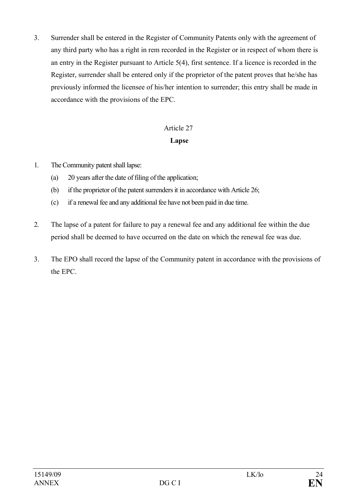3. Surrender shall be entered in the Register of Community Patents only with the agreement of any third party who has a right in rem recorded in the Register or in respect of whom there is an entry in the Register pursuant to Article 5(4), first sentence. If a licence is recorded in the Register, surrender shall be entered only if the proprietor of the patent proves that he/she has previously informed the licensee of his/her intention to surrender; this entry shall be made in accordance with the provisions of the EPC.

# Article 27

# **Lapse**

- 1. The Community patent shall lapse:
	- (a)  $20$  years after the date of filing of the application;
	- (b) if the proprietor of the patent surrenders it in accordance with Article 26;
	- (c) if a renewal fee and any additional fee have not been paid in due time.
- 2. The lapse of a patent for failure to pay a renewal fee and any additional fee within the due period shall be deemed to have occurred on the date on which the renewal fee was due.
- 3. The EPO shall record the lapse of the Community patent in accordance with the provisions of the EPC.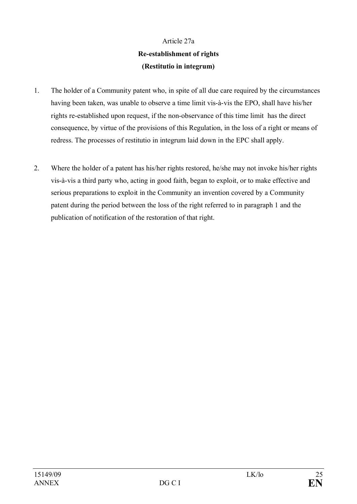# Article 27a **Re-establishment of rights (Restitutio in integrum)**

- 1. The holder of a Community patent who, in spite of all due care required by the circumstances having been taken, was unable to observe a time limit vis-à-vis the EPO, shall have his/her rights re-established upon request, if the non-observance of this time limit has the direct consequence, by virtue of the provisions of this Regulation, in the loss of a right or means of redress. The processes of restitutio in integrum laid down in the EPC shall apply.
- 2. Where the holder of a patent has his/her rights restored, he/she may not invoke his/her rights vis-à-vis a third party who, acting in good faith, began to exploit, or to make effective and serious preparations to exploit in the Community an invention covered by a Community patent during the period between the loss of the right referred to in paragraph 1 and the publication of notification of the restoration of that right.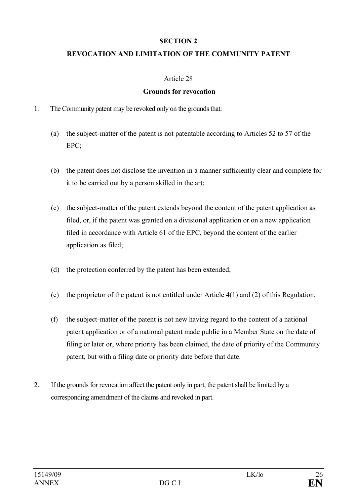#### **SECTION 2**

### **REVOCATION AND LIMITATION OF THE COMMUNITY PATENT**

#### Article 28

#### **Grounds for revocation**

- 1. The Community patent may be revoked only on the grounds that:
	- (a) the subject-matter of the patent is not patentable according to Articles 52 to 57 of the EPC;
	- (b) the patent does not disclose the invention in a manner sufficiently clear and complete for it to be carried out by a person skilled in the art;
	- (c) the subject-matter of the patent extends beyond the content of the patent application as filed, or, if the patent was granted on a divisional application or on a new application filed in accordance with Article 61 of the EPC, beyond the content of the earlier application as filed;
	- (d) the protection conferred by the patent has been extended;
	- (e) the proprietor of the patent is not entitled under Article 4(1) and (2) of this Regulation;
	- (f) the subject-matter of the patent is not new having regard to the content of a national patent application or of a national patent made public in a Member State on the date of filing or later or, where priority has been claimed, the date of priority of the Community patent, but with a filing date or priority date before that date.
- 2. If the grounds for revocation affect the patent only in part, the patent shall be limited by a corresponding amendment of the claims and revoked in part.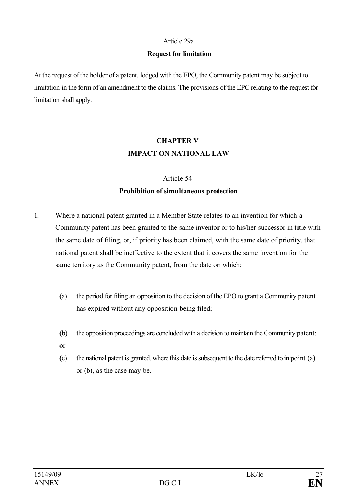#### Article 29a

#### **Request for limitation**

At the request of the holder of a patent, lodged with the EPO, the Community patent may be subject to limitation in the form of an amendment to the claims. The provisions of the EPC relating to the request for limitation shall apply.

# **CHAPTER V IMPACT ON NATIONAL LAW**

# Article 54 **Prohibition of simultaneous protection**

- 1. Where a national patent granted in a Member State relates to an invention for which a Community patent has been granted to the same inventor or to his/her successor in title with the same date of filing, or, if priority has been claimed, with the same date of priority, that national patent shall be ineffective to the extent that it covers the same invention for the same territory as the Community patent, from the date on which:
	- (a) the period for filing an opposition to the decision ofthe EPO to grant a Community patent has expired without any opposition being filed;
	- (b) the opposition proceedings are concluded with a decision to maintain the Community patent;
	- or
	- (c) the national patent is granted, where this date is subsequent to the date referred to in point (a) or (b), as the case may be.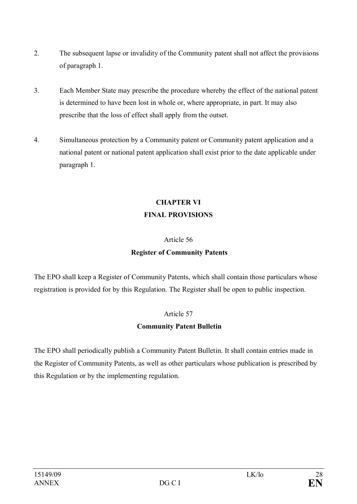- 2. The subsequent lapse or invalidity of the Community patent shall not affect the provisions of paragraph 1.
- 3. Each Member State may prescribe the procedure whereby the effect of the national patent is determined to have been lost in whole or, where appropriate, in part. It may also prescribe that the loss of effect shall apply from the outset.
- 4. Simultaneous protection by a Community patent or Community patent application and a national patent or national patent application shall exist prior to the date applicable under paragraph 1.

# **CHAPTER VI FINAL PROVISIONS**

# Article 56

# **Register of Community Patents**

The EPO shall keep a Register of Community Patents, which shall contain those particulars whose registration is provided for by this Regulation. The Register shall be open to public inspection.

# Article 57

# **Community Patent Bulletin**

The EPO shall periodically publish a Community Patent Bulletin. It shall contain entries made in the Register of Community Patents, as well as other particulars whose publication is prescribed by this Regulation or by the implementing regulation.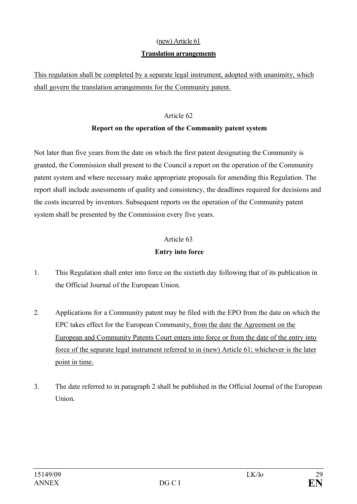# (new) Article 61 **Translation arrangements**

This regulation shall be completed by a separate legal instrument, adopted with unanimity, which shall govern the translation arrangements for the Community patent.

### Article 62

# **Report on the operation of the Community patent system**

Not later than five years from the date on which the first patent designating the Community is granted, the Commission shall present to the Council a report on the operation of the Community patent system and where necessary make appropriate proposals for amending this Regulation. The report shall include assessments of quality and consistency, the deadlines required for decisions and the costs incurred by inventors. Subsequent reports on the operation of the Community patent system shall be presented by the Commission every five years.

#### Article 63

### **Entry into force**

- 1. This Regulation shall enter into force on the sixtieth day following that of its publication in the Official Journal of the European Union.
- 2. Applications for a Community patent may be filed with the EPO from the date on which the EPC takes effect for the European Community, from the date the Agreement on the European and Community Patents Court enters into force or from the date of the entry into force of the separate legal instrument referred to in (new) Article 61; whichever is the later point in time.
- 3. The date referred to in paragraph 2 shall be published in the Official Journal of the European Union.